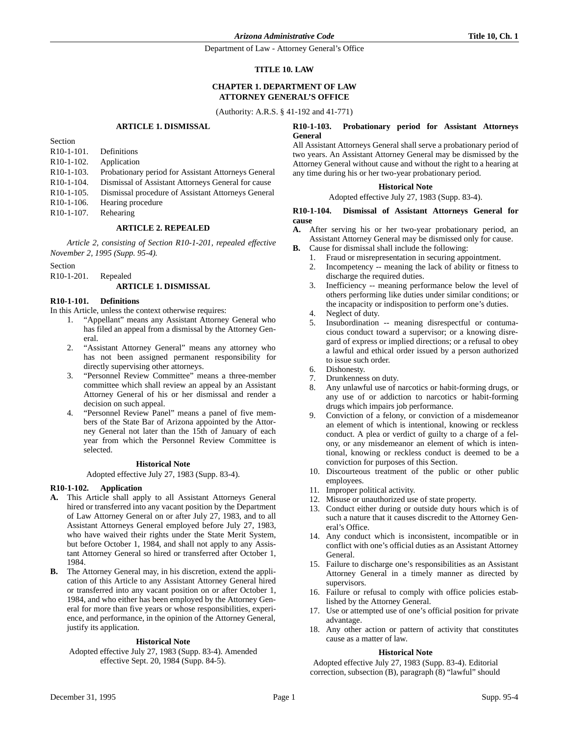Department of Law - Attorney General's Office

## **TITLE 10. LAW**

# **CHAPTER 1. DEPARTMENT OF LAW ATTORNEY GENERAL'S OFFICE**

(Authority: A.R.S. § 41-192 and 41-771)

## **ARTICLE 1. DISMISSAL**

| Section                 |                                                     |
|-------------------------|-----------------------------------------------------|
| $R10-1-101.$            | Definitions                                         |
| $R10-1-102$ .           | Application                                         |
| $R10-1-103$ .           | Probationary period for Assistant Attorneys General |
| $R10-1-104$ .           | Dismissal of Assistant Attorneys General for cause  |
| $R10-1-105.$            | Dismissal procedure of Assistant Attorneys General  |
| $R10-1-106$ .           | Hearing procedure                                   |
| R <sub>10</sub> -1-107. | Rehearing                                           |

## **ARTICLE 2. REPEALED**

*Article 2, consisting of Section R10-1-201, repealed effective November 2, 1995 (Supp. 95-4).*

Section

R10-1-201. Repealed

## **ARTICLE 1. DISMISSAL**

## **R10-1-101. Definitions**

In this Article, unless the context otherwise requires:

- 1. "Appellant" means any Assistant Attorney General who has filed an appeal from a dismissal by the Attorney General.
- 2. "Assistant Attorney General" means any attorney who has not been assigned permanent responsibility for directly supervising other attorneys.
- 3. "Personnel Review Committee" means a three-member committee which shall review an appeal by an Assistant Attorney General of his or her dismissal and render a decision on such appeal.
- 4. "Personnel Review Panel" means a panel of five members of the State Bar of Arizona appointed by the Attorney General not later than the 15th of January of each year from which the Personnel Review Committee is selected.

## **Historical Note**

Adopted effective July 27, 1983 (Supp. 83-4).

## **R10-1-102. Application**

- **A.** This Article shall apply to all Assistant Attorneys General hired or transferred into any vacant position by the Department of Law Attorney General on or after July 27, 1983, and to all Assistant Attorneys General employed before July 27, 1983, who have waived their rights under the State Merit System, but before October 1, 1984, and shall not apply to any Assistant Attorney General so hired or transferred after October 1, 1984.
- **B.** The Attorney General may, in his discretion, extend the application of this Article to any Assistant Attorney General hired or transferred into any vacant position on or after October 1, 1984, and who either has been employed by the Attorney General for more than five years or whose responsibilities, experience, and performance, in the opinion of the Attorney General, justify its application.

## **Historical Note**

Adopted effective July 27, 1983 (Supp. 83-4). Amended effective Sept. 20, 1984 (Supp. 84-5).

#### **R10-1-103. Probationary period for Assistant Attorneys General**

All Assistant Attorneys General shall serve a probationary period of two years. An Assistant Attorney General may be dismissed by the Attorney General without cause and without the right to a hearing at any time during his or her two-year probationary period.

## **Historical Note**

## Adopted effective July 27, 1983 (Supp. 83-4).

#### **R10-1-104. Dismissal of Assistant Attorneys General for cause**

- **A.** After serving his or her two-year probationary period, an Assistant Attorney General may be dismissed only for cause.
- **B.** Cause for dismissal shall include the following:
	- 1. Fraud or misrepresentation in securing appointment.
		- 2. Incompetency -- meaning the lack of ability or fitness to discharge the required duties.
		- 3. Inefficiency -- meaning performance below the level of others performing like duties under similar conditions; or the incapacity or indisposition to perform one's duties.
		- 4. Neglect of duty.<br>5. Insubordination
		- Insubordination -- meaning disrespectful or contumacious conduct toward a supervisor; or a knowing disregard of express or implied directions; or a refusal to obey a lawful and ethical order issued by a person authorized to issue such order.
	- 6. Dishonesty.
	- 7. Drunkenness on duty.
	- 8. Any unlawful use of narcotics or habit-forming drugs, or any use of or addiction to narcotics or habit-forming drugs which impairs job performance.
	- 9. Conviction of a felony, or conviction of a misdemeanor an element of which is intentional, knowing or reckless conduct. A plea or verdict of guilty to a charge of a felony, or any misdemeanor an element of which is intentional, knowing or reckless conduct is deemed to be a conviction for purposes of this Section.
	- 10. Discourteous treatment of the public or other public employees.
	- 11. Improper political activity.
	- 12. Misuse or unauthorized use of state property.
	- 13. Conduct either during or outside duty hours which is of such a nature that it causes discredit to the Attorney General's Office.
	- 14. Any conduct which is inconsistent, incompatible or in conflict with one's official duties as an Assistant Attorney General.
	- 15. Failure to discharge one's responsibilities as an Assistant Attorney General in a timely manner as directed by supervisors.
	- 16. Failure or refusal to comply with office policies established by the Attorney General.
	- 17. Use or attempted use of one's official position for private advantage.
	- 18. Any other action or pattern of activity that constitutes cause as a matter of law.

## **Historical Note**

Adopted effective July 27, 1983 (Supp. 83-4). Editorial correction, subsection (B), paragraph (8) "lawful" should